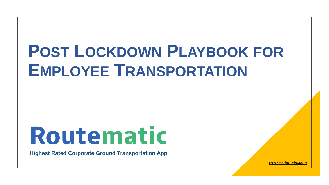## **POST LOCKDOWN PLAYBOOK FOR EMPLOYEE TRANSPORTATION**

# Routematic

**Highest Rated Corporate Ground Transportation App**

*www.routematic.com*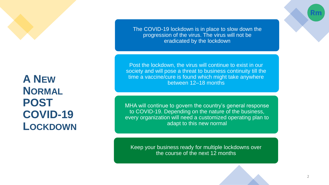**A NEW NORMAL POST COVID-19 LOCKDOWN** The COVID-19 lockdown is in place to slow down the progression of the virus. The virus will not be eradicated by the lockdown

Post the lockdown, the virus will continue to exist in our society and will pose a threat to business continuity till the time a vaccine/cure is found which might take anywhere between 12–18 months

MHA will continue to govern the country's general response to COVID-19. Depending on the nature of the business, every organization will need a customized operating plan to adapt to this new normal

Keep your business ready for multiple lockdowns over the course of the next 12 months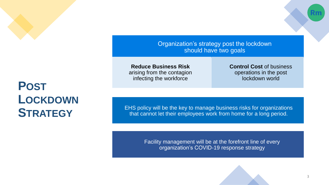

## **POST LOCKDOWN STRATEGY**

Organization's strategy post the lockdown should have two goals

**Reduce Business Risk**  arising from the contagion infecting the workforce

**Control Cost** of business operations in the post lockdown world

EHS policy will be the key to manage business risks for organizations that cannot let their employees work from home for a long period.

> Facility management will be at the forefront line of every organization's COVID-19 response strategy

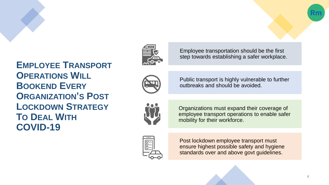

Employee transportation should be the first step towards establishing a safer workplace.

**EMPLOYEE TRANSPORT OPERATIONS WILL BOOKEND EVERY ORGANIZATION'S POST LOCKDOWN STRATEGY TO DEAL WITH COVID-19**



Public transport is highly vulnerable to further outbreaks and should be avoided.



Organizations must expand their coverage of employee transport operations to enable safer mobility for their workforce.



Post lockdown employee transport must ensure highest possible safety and hygiene standards over and above govt guidelines.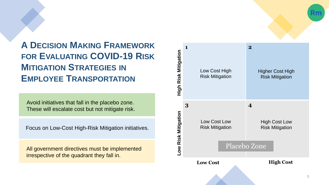

**A DECISION MAKING FRAMEWORK FOR EVALUATING COVID-19 RISK MITIGATION STRATEGIES IN EMPLOYEE TRANSPORTATION**

Avoid initiatives that fall in the placebo zone. These will escalate cost but not mitigate risk.

Focus on Low-Cost High-Risk Mitigation initiatives.

All government directives must be implemented irrespective of the quadrant they fall in.

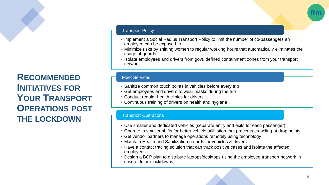**RECOMMENDED INITIATIVES FOR YOUR TRANSPORT OPERATIONS POST THE LOCKDOWN**

#### Transport Policy

- Implement a Social Radius Transport Policy to limit the number of co-passengers an employee can be exposed to.
- Minimize risks by shifting women to regular working hours that automatically eliminates the usage of guards.
- Isolate employees and drivers from govt. defined containment zones from your transport network.

#### Fleet Services

- Sanitize common touch points in vehicles before every trip
- Get employees and drivers to wear masks during the trip
- Conduct regular health clinics for drivers
- Continuous training of drivers on health and hygiene

#### Transport Operations

- Use smaller and dedicated vehicles (separate entry and exits for each passenger)
- Operate in smaller shifts for better vehicle utilization that prevents crowding at drop points.
- Get vendor partners to manage operations remotely using technology
- Maintain Health and Sanitization records for vehicles & drivers
- Have a contact tracing solution that can track positive cases and isolate the affected employees.
- Design a BCP plan to distribute laptops/desktops using the employee transport network in case of future lockdowns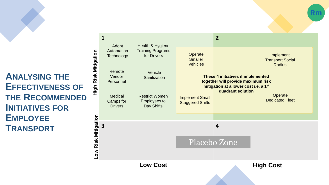**ANALYSING THE EFFECTIVENESS OF THE RECOMMENDED INITIATIVES FOR EMPLOYEE TRANSPORT**

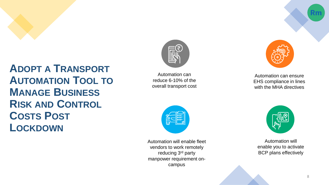

### **ADOPT A TRANSPORT AUTOMATION TOOL TO MANAGE BUSINESS RISK AND CONTROL COSTS POST LOCKDOWN**



Automation can reduce 6-10% of the overall transport cost



Automation will enable fleet vendors to work remotely reducing 3<sup>rd</sup> party manpower requirement oncampus



Automation can ensure EHS compliance in lines with the MHA directives



Automation will enable you to activate BCP plans effectively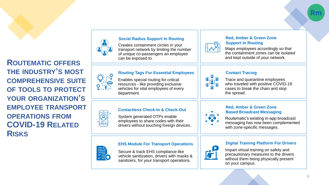



#### **Social Radius Support In Routing**

Creates containment circles in your transport network by limiting the number of unique co -passengers an employee can be exposed to.

#### **Routing Tags For Essential Employees**

Enables special routing for critical resources - like providing exclusive vehicles for vital employees of every department.

#### **Contactless Check-In & Check-Out**

System generated OTPs enable employees to share codes with their drivers without touching foreign devices.

#### **EHS Module For Transport Operations**

Secure & track EHS compliance like vehicle sanitization, drivers with masks & sanitizers, for your transport operations.



#### **Contact Tracing**

Trace and quarantine employees who traveled with positive COVID -19 cases to break the chain and stop the spread.

Maps employees accordingly so that the containment zones can be isolated and kept outside of your network.

**Red, Amber & Green Zone** 

**Support In Routing**



#### **Red, Amber & Green Zone Based Broadcast Messaging**

Routematic's existing in -app broadcast messaging has now been complemented with zone -specific messages.



#### **Digital Training Platform For Drivers**

Impart virtual training on safety and precautionary measures to the drivers without them being physically present on your campus.



9